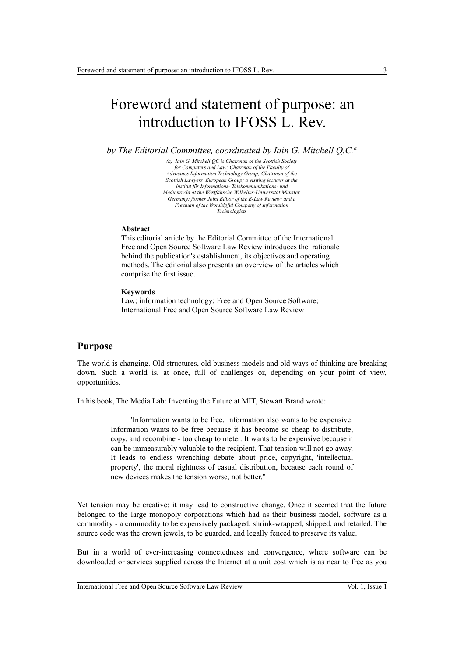# Foreword and statement of purpose: an introduction to IFOSS L. Rev.

*by The Editorial Committee, coordinated by Iain G. Mitchell Q.C.<sup>a</sup>*

*(a) Iain G. Mitchell QC is Chairman of the Scottish Society for Computers and Law; Chairman of the Faculty of Advocates Information Technology Group; Chairman of the Scottish Lawyers' European Group; a visiting lecturer at the Institut für Informations- Telekommunikations- und Medienrecht at the Westfälische Wilhelms-Universität Münster, Germany; former Joint Editor of the E-Law Review; and a Freeman of the Worshipful Company of Information Technologists*

#### **Abstract**

This editorial article by the Editorial Committee of the International Free and Open Source Software Law Review introduces the rationale behind the publication's establishment, its objectives and operating methods. The editorial also presents an overview of the articles which comprise the first issue.

#### **Keywords**

Law; information technology; Free and Open Source Software; International Free and Open Source Software Law Review

## **Purpose**

The world is changing. Old structures, old business models and old ways of thinking are breaking down. Such a world is, at once, full of challenges or, depending on your point of view, opportunities.

In his book, The Media Lab: Inventing the Future at MIT, Stewart Brand wrote:

 "Information wants to be free. Information also wants to be expensive. Information wants to be free because it has become so cheap to distribute, copy, and recombine - too cheap to meter. It wants to be expensive because it can be immeasurably valuable to the recipient. That tension will not go away. It leads to endless wrenching debate about price, copyright, 'intellectual property', the moral rightness of casual distribution, because each round of new devices makes the tension worse, not better."

Yet tension may be creative: it may lead to constructive change. Once it seemed that the future belonged to the large monopoly corporations which had as their business model, software as a commodity - a commodity to be expensively packaged, shrink-wrapped, shipped, and retailed. The source code was the crown jewels, to be guarded, and legally fenced to preserve its value.

But in a world of ever-increasing connectedness and convergence, where software can be downloaded or services supplied across the Internet at a unit cost which is as near to free as you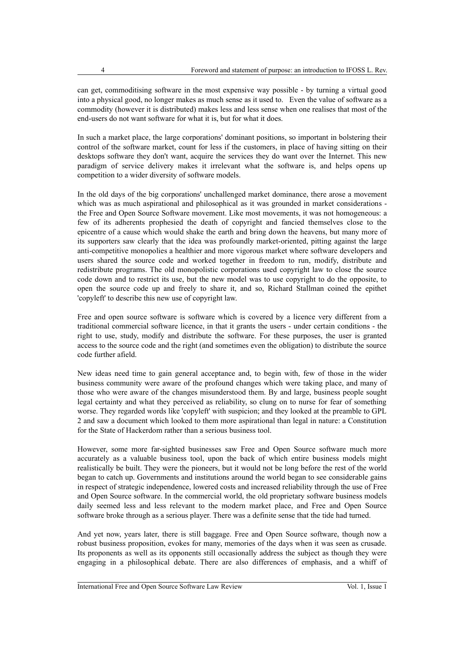can get, commoditising software in the most expensive way possible - by turning a virtual good into a physical good, no longer makes as much sense as it used to. Even the value of software as a commodity (however it is distributed) makes less and less sense when one realises that most of the end-users do not want software for what it is, but for what it does.

In such a market place, the large corporations' dominant positions, so important in bolstering their control of the software market, count for less if the customers, in place of having sitting on their desktops software they don't want, acquire the services they do want over the Internet. This new paradigm of service delivery makes it irrelevant what the software is, and helps opens up competition to a wider diversity of software models.

In the old days of the big corporations' unchallenged market dominance, there arose a movement which was as much aspirational and philosophical as it was grounded in market considerations the Free and Open Source Software movement. Like most movements, it was not homogeneous: a few of its adherents prophesied the death of copyright and fancied themselves close to the epicentre of a cause which would shake the earth and bring down the heavens, but many more of its supporters saw clearly that the idea was profoundly market-oriented, pitting against the large anti-competitive monopolies a healthier and more vigorous market where software developers and users shared the source code and worked together in freedom to run, modify, distribute and redistribute programs. The old monopolistic corporations used copyright law to close the source code down and to restrict its use, but the new model was to use copyright to do the opposite, to open the source code up and freely to share it, and so, Richard Stallman coined the epithet 'copyleft' to describe this new use of copyright law.

Free and open source software is software which is covered by a licence very different from a traditional commercial software licence, in that it grants the users - under certain conditions - the right to use, study, modify and distribute the software. For these purposes, the user is granted access to the source code and the right (and sometimes even the obligation) to distribute the source code further afield.

New ideas need time to gain general acceptance and, to begin with, few of those in the wider business community were aware of the profound changes which were taking place, and many of those who were aware of the changes misunderstood them. By and large, business people sought legal certainty and what they perceived as reliability, so clung on to nurse for fear of something worse. They regarded words like 'copyleft' with suspicion; and they looked at the preamble to GPL 2 and saw a document which looked to them more aspirational than legal in nature: a Constitution for the State of Hackerdom rather than a serious business tool.

However, some more far-sighted businesses saw Free and Open Source software much more accurately as a valuable business tool, upon the back of which entire business models might realistically be built. They were the pioneers, but it would not be long before the rest of the world began to catch up. Governments and institutions around the world began to see considerable gains in respect of strategic independence, lowered costs and increased reliability through the use of Free and Open Source software. In the commercial world, the old proprietary software business models daily seemed less and less relevant to the modern market place, and Free and Open Source software broke through as a serious player. There was a definite sense that the tide had turned.

And yet now, years later, there is still baggage. Free and Open Source software, though now a robust business proposition, evokes for many, memories of the days when it was seen as crusade. Its proponents as well as its opponents still occasionally address the subject as though they were engaging in a philosophical debate. There are also differences of emphasis, and a whiff of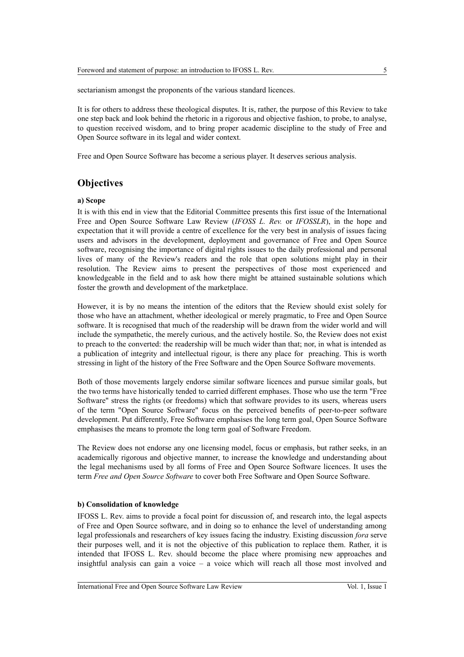sectarianism amongst the proponents of the various standard licences.

It is for others to address these theological disputes. It is, rather, the purpose of this Review to take one step back and look behind the rhetoric in a rigorous and objective fashion, to probe, to analyse, to question received wisdom, and to bring proper academic discipline to the study of Free and Open Source software in its legal and wider context.

Free and Open Source Software has become a serious player. It deserves serious analysis.

## **Objectives**

#### **a) Scope**

It is with this end in view that the Editorial Committee presents this first issue of the International Free and Open Source Software Law Review (*IFOSS L. Rev.* or *IFOSSLR*), in the hope and expectation that it will provide a centre of excellence for the very best in analysis of issues facing users and advisors in the development, deployment and governance of Free and Open Source software, recognising the importance of digital rights issues to the daily professional and personal lives of many of the Review's readers and the role that open solutions might play in their resolution. The Review aims to present the perspectives of those most experienced and knowledgeable in the field and to ask how there might be attained sustainable solutions which foster the growth and development of the marketplace.

However, it is by no means the intention of the editors that the Review should exist solely for those who have an attachment, whether ideological or merely pragmatic, to Free and Open Source software. It is recognised that much of the readership will be drawn from the wider world and will include the sympathetic, the merely curious, and the actively hostile. So, the Review does not exist to preach to the converted: the readership will be much wider than that; nor, in what is intended as a publication of integrity and intellectual rigour, is there any place for preaching. This is worth stressing in light of the history of the Free Software and the Open Source Software movements.

Both of those movements largely endorse similar software licences and pursue similar goals, but the two terms have historically tended to carried different emphases. Those who use the term "Free Software" stress the rights (or freedoms) which that software provides to its users, whereas users of the term "Open Source Software" focus on the perceived benefits of peer-to-peer software development. Put differently, Free Software emphasises the long term goal, Open Source Software emphasises the means to promote the long term goal of Software Freedom.

The Review does not endorse any one licensing model, focus or emphasis, but rather seeks, in an academically rigorous and objective manner, to increase the knowledge and understanding about the legal mechanisms used by all forms of Free and Open Source Software licences. It uses the term *Free and Open Source Software* to cover both Free Software and Open Source Software.

#### **b) Consolidation of knowledge**

IFOSS L. Rev. aims to provide a focal point for discussion of, and research into, the legal aspects of Free and Open Source software, and in doing so to enhance the level of understanding among legal professionals and researchers of key issues facing the industry. Existing discussion *fora* serve their purposes well, and it is not the objective of this publication to replace them. Rather, it is intended that IFOSS L. Rev. should become the place where promising new approaches and insightful analysis can gain a voice – a voice which will reach all those most involved and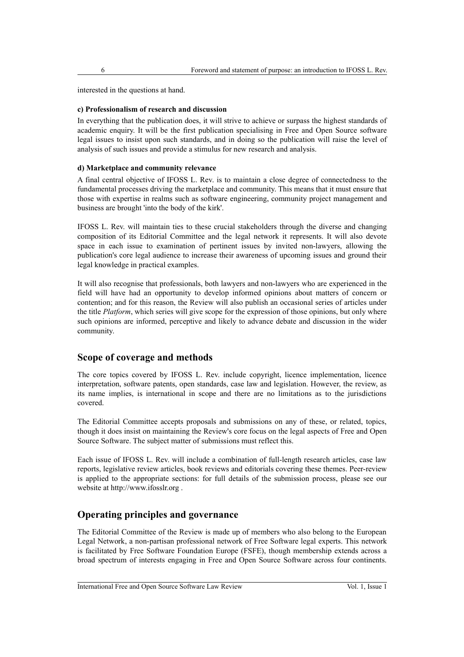interested in the questions at hand.

### **c) Professionalism of research and discussion**

In everything that the publication does, it will strive to achieve or surpass the highest standards of academic enquiry. It will be the first publication specialising in Free and Open Source software legal issues to insist upon such standards, and in doing so the publication will raise the level of analysis of such issues and provide a stimulus for new research and analysis.

### **d) Marketplace and community relevance**

A final central objective of IFOSS L. Rev. is to maintain a close degree of connectedness to the fundamental processes driving the marketplace and community. This means that it must ensure that those with expertise in realms such as software engineering, community project management and business are brought 'into the body of the kirk'.

IFOSS L. Rev. will maintain ties to these crucial stakeholders through the diverse and changing composition of its Editorial Committee and the legal network it represents. It will also devote space in each issue to examination of pertinent issues by invited non-lawyers, allowing the publication's core legal audience to increase their awareness of upcoming issues and ground their legal knowledge in practical examples.

It will also recognise that professionals, both lawyers and non-lawyers who are experienced in the field will have had an opportunity to develop informed opinions about matters of concern or contention; and for this reason, the Review will also publish an occasional series of articles under the title *Platform*, which series will give scope for the expression of those opinions, but only where such opinions are informed, perceptive and likely to advance debate and discussion in the wider community.

## **Scope of coverage and methods**

The core topics covered by IFOSS L. Rev. include copyright, licence implementation, licence interpretation, software patents, open standards, case law and legislation. However, the review, as its name implies, is international in scope and there are no limitations as to the jurisdictions covered.

The Editorial Committee accepts proposals and submissions on any of these, or related, topics, though it does insist on maintaining the Review's core focus on the legal aspects of Free and Open Source Software. The subject matter of submissions must reflect this.

Each issue of IFOSS L. Rev. will include a combination of full-length research articles, case law reports, legislative review articles, book reviews and editorials covering these themes. Peer-review is applied to the appropriate sections: for full details of the submission process, please see our website at http://www.ifosslr.org .

# **Operating principles and governance**

The Editorial Committee of the Review is made up of members who also belong to the European Legal Network, a non-partisan professional network of Free Software legal experts. This network is facilitated by Free Software Foundation Europe (FSFE), though membership extends across a broad spectrum of interests engaging in Free and Open Source Software across four continents.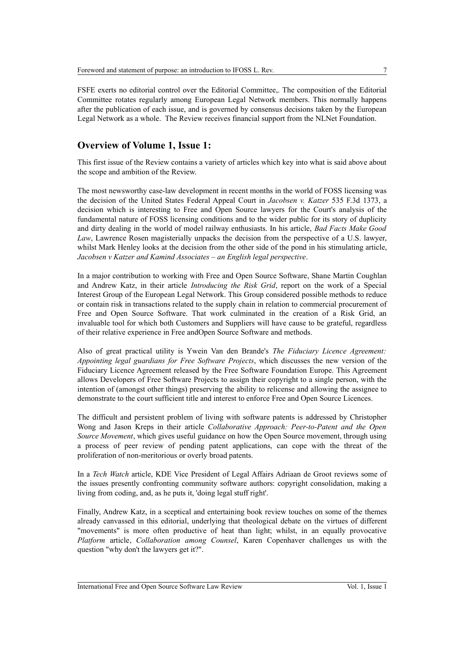FSFE exerts no editorial control over the Editorial Committee,. The composition of the Editorial Committee rotates regularly among European Legal Network members. This normally happens after the publication of each issue, and is governed by consensus decisions taken by the European Legal Network as a whole. The Review receives financial support from the NLNet Foundation.

## **Overview of Volume 1, Issue 1:**

This first issue of the Review contains a variety of articles which key into what is said above about the scope and ambition of the Review.

The most newsworthy case-law development in recent months in the world of FOSS licensing was the decision of the United States Federal Appeal Court in *Jacobsen v. Katzer* 535 F.3d 1373, a decision which is interesting to Free and Open Source lawyers for the Court's analysis of the fundamental nature of FOSS licensing conditions and to the wider public for its story of duplicity and dirty dealing in the world of model railway enthusiasts. In his article, *Bad Facts Make Good Law*, Lawrence Rosen magisterially unpacks the decision from the perspective of a U.S. lawyer, whilst Mark Henley looks at the decision from the other side of the pond in his stimulating article. *Jacobsen v Katzer and Kamind Associates – an English legal perspective*.

In a major contribution to working with Free and Open Source Software, Shane Martin Coughlan and Andrew Katz, in their article *Introducing the Risk Grid*, report on the work of a Special Interest Group of the European Legal Network. This Group considered possible methods to reduce or contain risk in transactions related to the supply chain in relation to commercial procurement of Free and Open Source Software. That work culminated in the creation of a Risk Grid, an invaluable tool for which both Customers and Suppliers will have cause to be grateful, regardless of their relative experience in Free andOpen Source Software and methods.

Also of great practical utility is Ywein Van den Brande's *The Fiduciary Licence Agreement: Appointing legal guardians for Free Software Projects*, which discusses the new version of the Fiduciary Licence Agreement released by the Free Software Foundation Europe. This Agreement allows Developers of Free Software Projects to assign their copyright to a single person, with the intention of (amongst other things) preserving the ability to relicense and allowing the assignee to demonstrate to the court sufficient title and interest to enforce Free and Open Source Licences.

The difficult and persistent problem of living with software patents is addressed by Christopher Wong and Jason Kreps in their article *Collaborative Approach: Peer-to-Patent and the Open Source Movement*, which gives useful guidance on how the Open Source movement, through using a process of peer review of pending patent applications, can cope with the threat of the proliferation of non-meritorious or overly broad patents.

In a *Tech Watch* article, KDE Vice President of Legal Affairs Adriaan de Groot reviews some of the issues presently confronting community software authors: copyright consolidation, making a living from coding, and, as he puts it, 'doing legal stuff right'.

Finally, Andrew Katz, in a sceptical and entertaining book review touches on some of the themes already canvassed in this editorial, underlying that theological debate on the virtues of different "movements" is more often productive of heat than light; whilst, in an equally provocative *Platform* article, *Collaboration among Counsel*, Karen Copenhaver challenges us with the question "why don't the lawyers get it?".